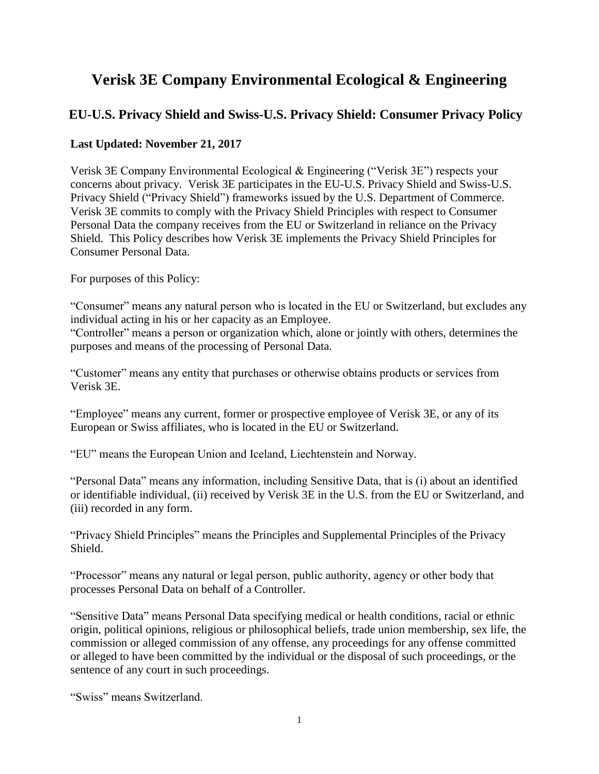# **Verisk 3E Company Environmental Ecological & Engineering**

## **EU-U.S. Privacy Shield and Swiss-U.S. Privacy Shield: Consumer Privacy Policy**

## **Last Updated: November 21, 2017**

Verisk 3E Company Environmental Ecological & Engineering ("Verisk 3E") respects your concerns about privacy. Verisk 3E participates in the EU-U.S. Privacy Shield and Swiss-U.S. Privacy Shield ("Privacy Shield") frameworks issued by the U.S. Department of Commerce. Verisk 3E commits to comply with the Privacy Shield Principles with respect to Consumer Personal Data the company receives from the EU or Switzerland in reliance on the Privacy Shield. This Policy describes how Verisk 3E implements the Privacy Shield Principles for Consumer Personal Data.

For purposes of this Policy:

"Consumer" means any natural person who is located in the EU or Switzerland, but excludes any individual acting in his or her capacity as an Employee.

"Controller" means a person or organization which, alone or jointly with others, determines the purposes and means of the processing of Personal Data.

"Customer" means any entity that purchases or otherwise obtains products or services from Verisk 3E.

"Employee" means any current, former or prospective employee of Verisk 3E, or any of its European or Swiss affiliates, who is located in the EU or Switzerland.

"EU" means the European Union and Iceland, Liechtenstein and Norway.

"Personal Data" means any information, including Sensitive Data, that is (i) about an identified or identifiable individual, (ii) received by Verisk 3E in the U.S. from the EU or Switzerland, and (iii) recorded in any form.

"Privacy Shield Principles" means the Principles and Supplemental Principles of the Privacy Shield.

"Processor" means any natural or legal person, public authority, agency or other body that processes Personal Data on behalf of a Controller.

"Sensitive Data" means Personal Data specifying medical or health conditions, racial or ethnic origin, political opinions, religious or philosophical beliefs, trade union membership, sex life, the commission or alleged commission of any offense, any proceedings for any offense committed or alleged to have been committed by the individual or the disposal of such proceedings, or the sentence of any court in such proceedings.

"Swiss" means Switzerland.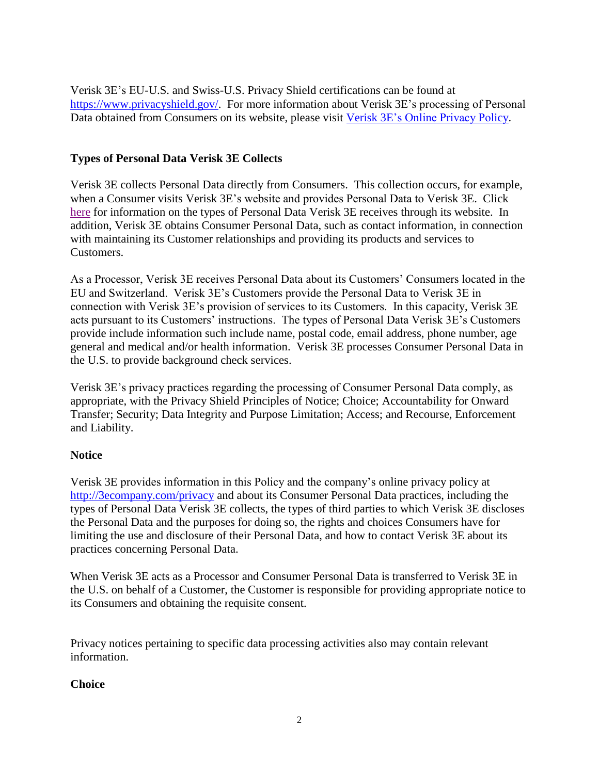Verisk 3E's EU-U.S. and Swiss-U.S. Privacy Shield certifications can be found at [https://www.privacyshield.gov/.](https://www.privacyshield.gov/) For more information about Verisk 3E's processing of Personal Data obtained from Consumers on its website, please visit [Verisk 3E's Online Privacy Policy.](http://3ecompany.com/privacy)

## **Types of Personal Data Verisk 3E Collects**

Verisk 3E collects Personal Data directly from Consumers. This collection occurs, for example, when a Consumer visits Verisk 3E's website and provides Personal Data to Verisk 3E. Click [here](http://3ecompany.com/privacy) for information on the types of Personal Data Verisk 3E receives through its website. In addition, Verisk 3E obtains Consumer Personal Data, such as contact information, in connection with maintaining its Customer relationships and providing its products and services to Customers.

As a Processor, Verisk 3E receives Personal Data about its Customers' Consumers located in the EU and Switzerland. Verisk 3E's Customers provide the Personal Data to Verisk 3E in connection with Verisk 3E's provision of services to its Customers. In this capacity, Verisk 3E acts pursuant to its Customers' instructions. The types of Personal Data Verisk 3E's Customers provide include information such include name, postal code, email address, phone number, age general and medical and/or health information. Verisk 3E processes Consumer Personal Data in the U.S. to provide background check services.

Verisk 3E's privacy practices regarding the processing of Consumer Personal Data comply, as appropriate, with the Privacy Shield Principles of Notice; Choice; Accountability for Onward Transfer; Security; Data Integrity and Purpose Limitation; Access; and Recourse, Enforcement and Liability.

## **Notice**

Verisk 3E provides information in this Policy and the company's online privacy policy at <http://3ecompany.com/privacy> and about its Consumer Personal Data practices, including the types of Personal Data Verisk 3E collects, the types of third parties to which Verisk 3E discloses the Personal Data and the purposes for doing so, the rights and choices Consumers have for limiting the use and disclosure of their Personal Data, and how to contact Verisk 3E about its practices concerning Personal Data.

When Verisk 3E acts as a Processor and Consumer Personal Data is transferred to Verisk 3E in the U.S. on behalf of a Customer, the Customer is responsible for providing appropriate notice to its Consumers and obtaining the requisite consent.

Privacy notices pertaining to specific data processing activities also may contain relevant information.

#### **Choice**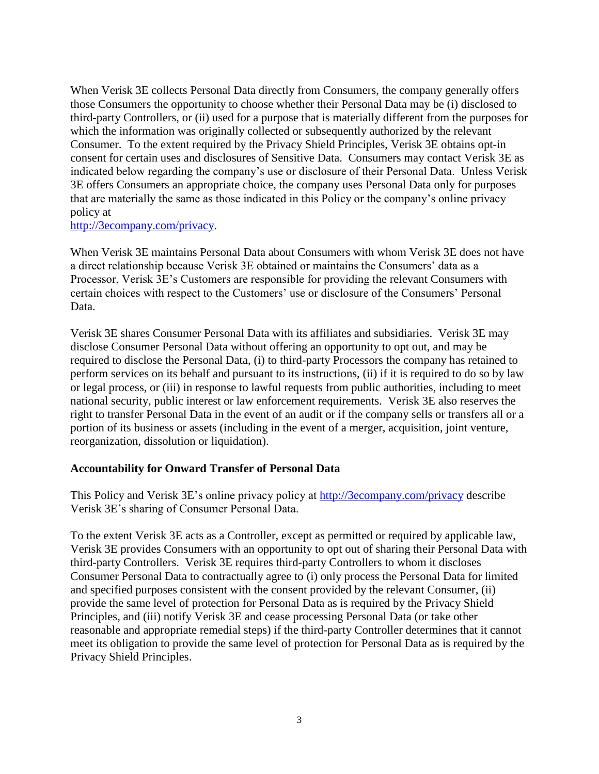When Verisk 3E collects Personal Data directly from Consumers, the company generally offers those Consumers the opportunity to choose whether their Personal Data may be (i) disclosed to third-party Controllers, or (ii) used for a purpose that is materially different from the purposes for which the information was originally collected or subsequently authorized by the relevant Consumer. To the extent required by the Privacy Shield Principles, Verisk 3E obtains opt-in consent for certain uses and disclosures of Sensitive Data. Consumers may contact Verisk 3E as indicated below regarding the company's use or disclosure of their Personal Data. Unless Verisk 3E offers Consumers an appropriate choice, the company uses Personal Data only for purposes that are materially the same as those indicated in this Policy or the company's online privacy policy at

#### [http://3ecompany.com/privacy.](http://3ecompany.com/privacy)

When Verisk 3E maintains Personal Data about Consumers with whom Verisk 3E does not have a direct relationship because Verisk 3E obtained or maintains the Consumers' data as a Processor, Verisk 3E's Customers are responsible for providing the relevant Consumers with certain choices with respect to the Customers' use or disclosure of the Consumers' Personal Data.

Verisk 3E shares Consumer Personal Data with its affiliates and subsidiaries. Verisk 3E may disclose Consumer Personal Data without offering an opportunity to opt out, and may be required to disclose the Personal Data, (i) to third-party Processors the company has retained to perform services on its behalf and pursuant to its instructions, (ii) if it is required to do so by law or legal process, or (iii) in response to lawful requests from public authorities, including to meet national security, public interest or law enforcement requirements. Verisk 3E also reserves the right to transfer Personal Data in the event of an audit or if the company sells or transfers all or a portion of its business or assets (including in the event of a merger, acquisition, joint venture, reorganization, dissolution or liquidation).

#### **Accountability for Onward Transfer of Personal Data**

This Policy and Verisk 3E's online privacy policy at<http://3ecompany.com/privacy> describe Verisk 3E's sharing of Consumer Personal Data.

To the extent Verisk 3E acts as a Controller, except as permitted or required by applicable law, Verisk 3E provides Consumers with an opportunity to opt out of sharing their Personal Data with third-party Controllers. Verisk 3E requires third-party Controllers to whom it discloses Consumer Personal Data to contractually agree to (i) only process the Personal Data for limited and specified purposes consistent with the consent provided by the relevant Consumer, (ii) provide the same level of protection for Personal Data as is required by the Privacy Shield Principles, and (iii) notify Verisk 3E and cease processing Personal Data (or take other reasonable and appropriate remedial steps) if the third-party Controller determines that it cannot meet its obligation to provide the same level of protection for Personal Data as is required by the Privacy Shield Principles.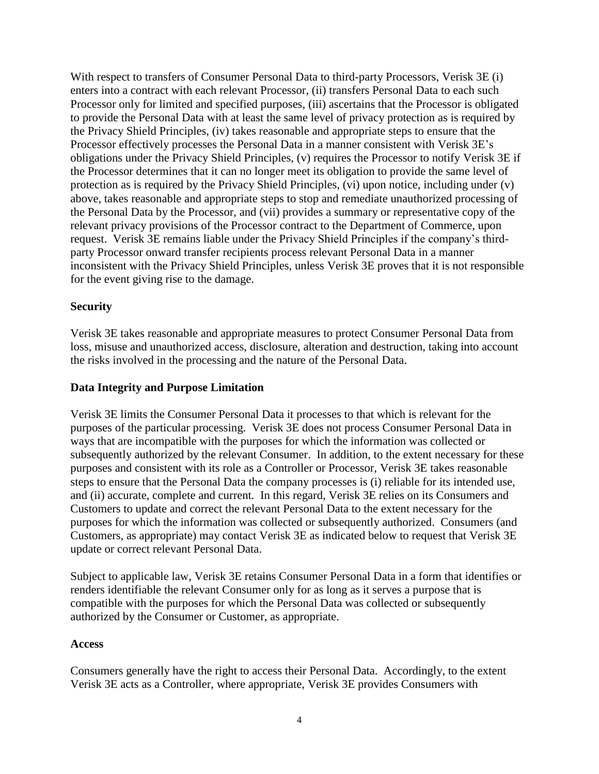With respect to transfers of Consumer Personal Data to third-party Processors, Verisk 3E (i) enters into a contract with each relevant Processor, (ii) transfers Personal Data to each such Processor only for limited and specified purposes, (iii) ascertains that the Processor is obligated to provide the Personal Data with at least the same level of privacy protection as is required by the Privacy Shield Principles, (iv) takes reasonable and appropriate steps to ensure that the Processor effectively processes the Personal Data in a manner consistent with Verisk 3E's obligations under the Privacy Shield Principles, (v) requires the Processor to notify Verisk 3E if the Processor determines that it can no longer meet its obligation to provide the same level of protection as is required by the Privacy Shield Principles, (vi) upon notice, including under (v) above, takes reasonable and appropriate steps to stop and remediate unauthorized processing of the Personal Data by the Processor, and (vii) provides a summary or representative copy of the relevant privacy provisions of the Processor contract to the Department of Commerce, upon request. Verisk 3E remains liable under the Privacy Shield Principles if the company's thirdparty Processor onward transfer recipients process relevant Personal Data in a manner inconsistent with the Privacy Shield Principles, unless Verisk 3E proves that it is not responsible for the event giving rise to the damage.

## **Security**

Verisk 3E takes reasonable and appropriate measures to protect Consumer Personal Data from loss, misuse and unauthorized access, disclosure, alteration and destruction, taking into account the risks involved in the processing and the nature of the Personal Data.

#### **Data Integrity and Purpose Limitation**

Verisk 3E limits the Consumer Personal Data it processes to that which is relevant for the purposes of the particular processing. Verisk 3E does not process Consumer Personal Data in ways that are incompatible with the purposes for which the information was collected or subsequently authorized by the relevant Consumer. In addition, to the extent necessary for these purposes and consistent with its role as a Controller or Processor, Verisk 3E takes reasonable steps to ensure that the Personal Data the company processes is (i) reliable for its intended use, and (ii) accurate, complete and current. In this regard, Verisk 3E relies on its Consumers and Customers to update and correct the relevant Personal Data to the extent necessary for the purposes for which the information was collected or subsequently authorized. Consumers (and Customers, as appropriate) may contact Verisk 3E as indicated below to request that Verisk 3E update or correct relevant Personal Data.

Subject to applicable law, Verisk 3E retains Consumer Personal Data in a form that identifies or renders identifiable the relevant Consumer only for as long as it serves a purpose that is compatible with the purposes for which the Personal Data was collected or subsequently authorized by the Consumer or Customer, as appropriate.

#### **Access**

Consumers generally have the right to access their Personal Data. Accordingly, to the extent Verisk 3E acts as a Controller, where appropriate, Verisk 3E provides Consumers with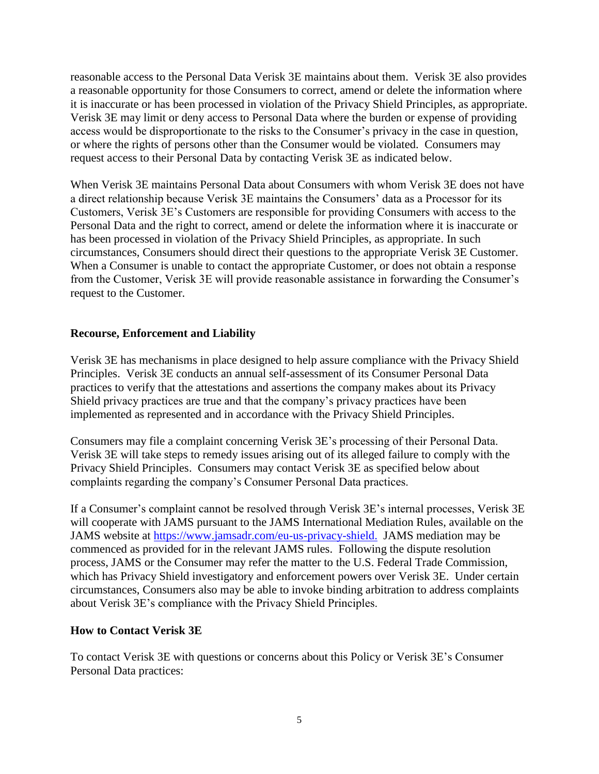reasonable access to the Personal Data Verisk 3E maintains about them. Verisk 3E also provides a reasonable opportunity for those Consumers to correct, amend or delete the information where it is inaccurate or has been processed in violation of the Privacy Shield Principles, as appropriate. Verisk 3E may limit or deny access to Personal Data where the burden or expense of providing access would be disproportionate to the risks to the Consumer's privacy in the case in question, or where the rights of persons other than the Consumer would be violated. Consumers may request access to their Personal Data by contacting Verisk 3E as indicated below.

When Verisk 3E maintains Personal Data about Consumers with whom Verisk 3E does not have a direct relationship because Verisk 3E maintains the Consumers' data as a Processor for its Customers, Verisk 3E's Customers are responsible for providing Consumers with access to the Personal Data and the right to correct, amend or delete the information where it is inaccurate or has been processed in violation of the Privacy Shield Principles, as appropriate. In such circumstances, Consumers should direct their questions to the appropriate Verisk 3E Customer. When a Consumer is unable to contact the appropriate Customer, or does not obtain a response from the Customer, Verisk 3E will provide reasonable assistance in forwarding the Consumer's request to the Customer.

### **Recourse, Enforcement and Liability**

Verisk 3E has mechanisms in place designed to help assure compliance with the Privacy Shield Principles. Verisk 3E conducts an annual self-assessment of its Consumer Personal Data practices to verify that the attestations and assertions the company makes about its Privacy Shield privacy practices are true and that the company's privacy practices have been implemented as represented and in accordance with the Privacy Shield Principles.

Consumers may file a complaint concerning Verisk 3E's processing of their Personal Data. Verisk 3E will take steps to remedy issues arising out of its alleged failure to comply with the Privacy Shield Principles. Consumers may contact Verisk 3E as specified below about complaints regarding the company's Consumer Personal Data practices.

If a Consumer's complaint cannot be resolved through Verisk 3E's internal processes, Verisk 3E will cooperate with JAMS pursuant to the JAMS International Mediation Rules, available on the JAMS website at [https://www.jamsadr.com/eu-us-privacy-shield.](http://www.jamsadr.com/international-mediation-rules) JAMS mediation may be commenced as provided for in the relevant JAMS rules. Following the dispute resolution process, JAMS or the Consumer may refer the matter to the U.S. Federal Trade Commission, which has Privacy Shield investigatory and enforcement powers over Verisk 3E. Under certain circumstances, Consumers also may be able to invoke binding arbitration to address complaints about Verisk 3E's compliance with the Privacy Shield Principles.

#### **How to Contact Verisk 3E**

To contact Verisk 3E with questions or concerns about this Policy or Verisk 3E's Consumer Personal Data practices: